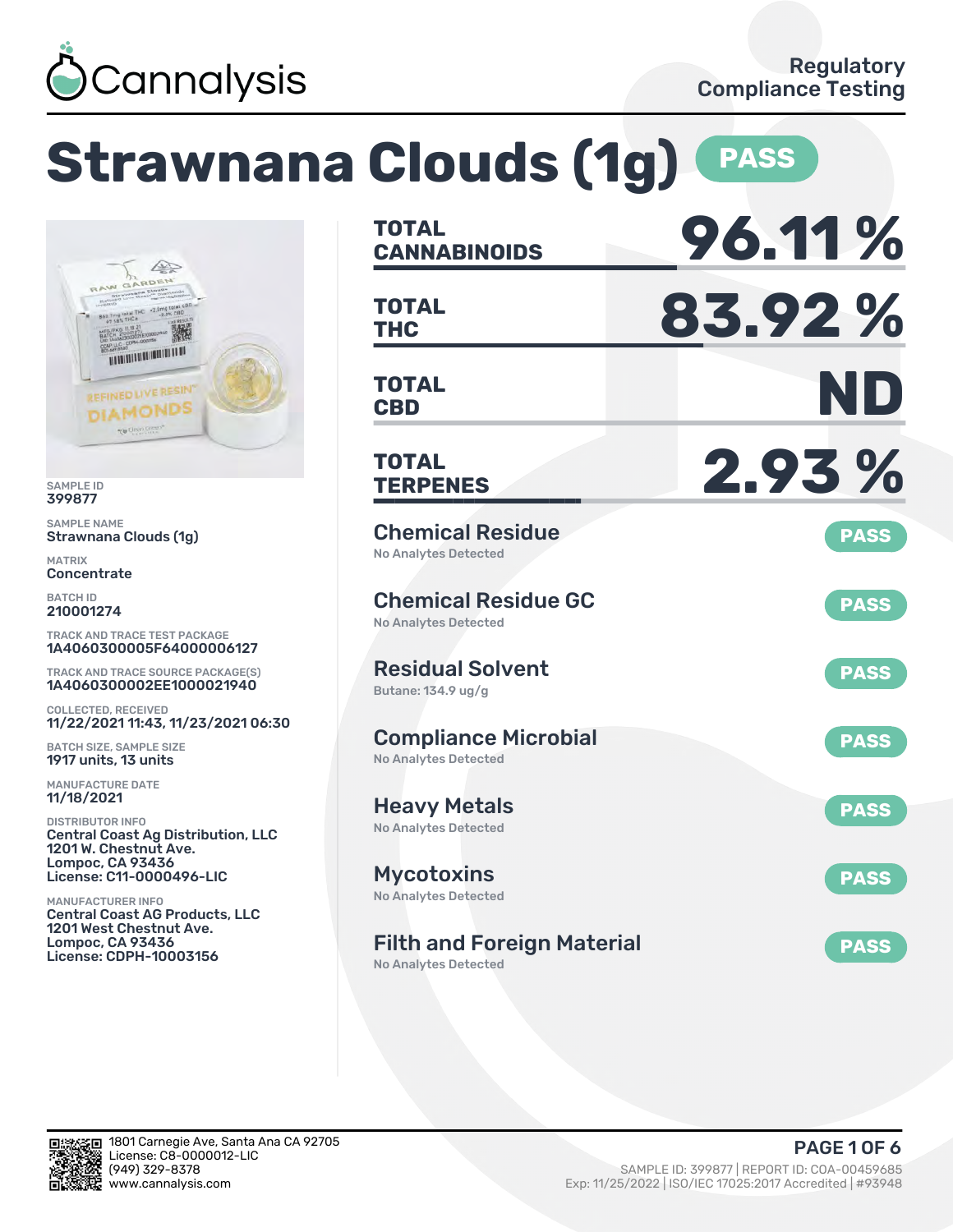

# **Strawnana Clouds (1g) PASS**



SAMPLE ID 399877

SAMPLE NAME Strawnana Clouds (1g)

MATRIX **Concentrate** 

BATCH ID 210001274

TRACK AND TRACE TEST PACKAGE 1A4060300005F64000006127

TRACK AND TRACE SOURCE PACKAGE(S) 1A4060300002EE1000021940

COLLECTED, RECEIVED 11/22/2021 11:43, 11/23/2021 06:30

BATCH SIZE, SAMPLE SIZE 1917 units, 13 units

MANUFACTURE DATE 11/18/2021

DISTRIBUTOR INFO Central Coast Ag Distribution, LLC 1201 W. Chestnut Ave. Lompoc, CA 93436 License: C11-0000496-LIC

MANUFACTURER INFO Central Coast AG Products, LLC 1201 West Chestnut Ave. Lompoc, CA 93436 License: CDPH-10003156

| <b>TOTAL</b><br><b>CANNABINOIDS</b>                              | 96.11%      |
|------------------------------------------------------------------|-------------|
| <b>TOTAL</b><br><b>THC</b>                                       | 83.92%      |
| <b>TOTAL</b><br><b>CBD</b>                                       | ND          |
| <b>TOTAL</b><br><b>TERPENES</b>                                  | 2.93%       |
| <b>Chemical Residue</b><br><b>No Analytes Detected</b>           | <b>PASS</b> |
| <b>Chemical Residue GC</b><br><b>No Analytes Detected</b>        | <b>PASS</b> |
| <b>Residual Solvent</b><br>Butane: 134.9 ug/g                    | <b>PASS</b> |
| <b>Compliance Microbial</b><br><b>No Analytes Detected</b>       | <b>PASS</b> |
| <b>Heavy Metals</b><br><b>No Analytes Detected</b>               | <b>PASS</b> |
| <b>Mycotoxins</b><br>No Analytes Detected                        | <b>PASS</b> |
| <b>Filth and Foreign Material</b><br><b>No Analytes Detected</b> | <b>PASS</b> |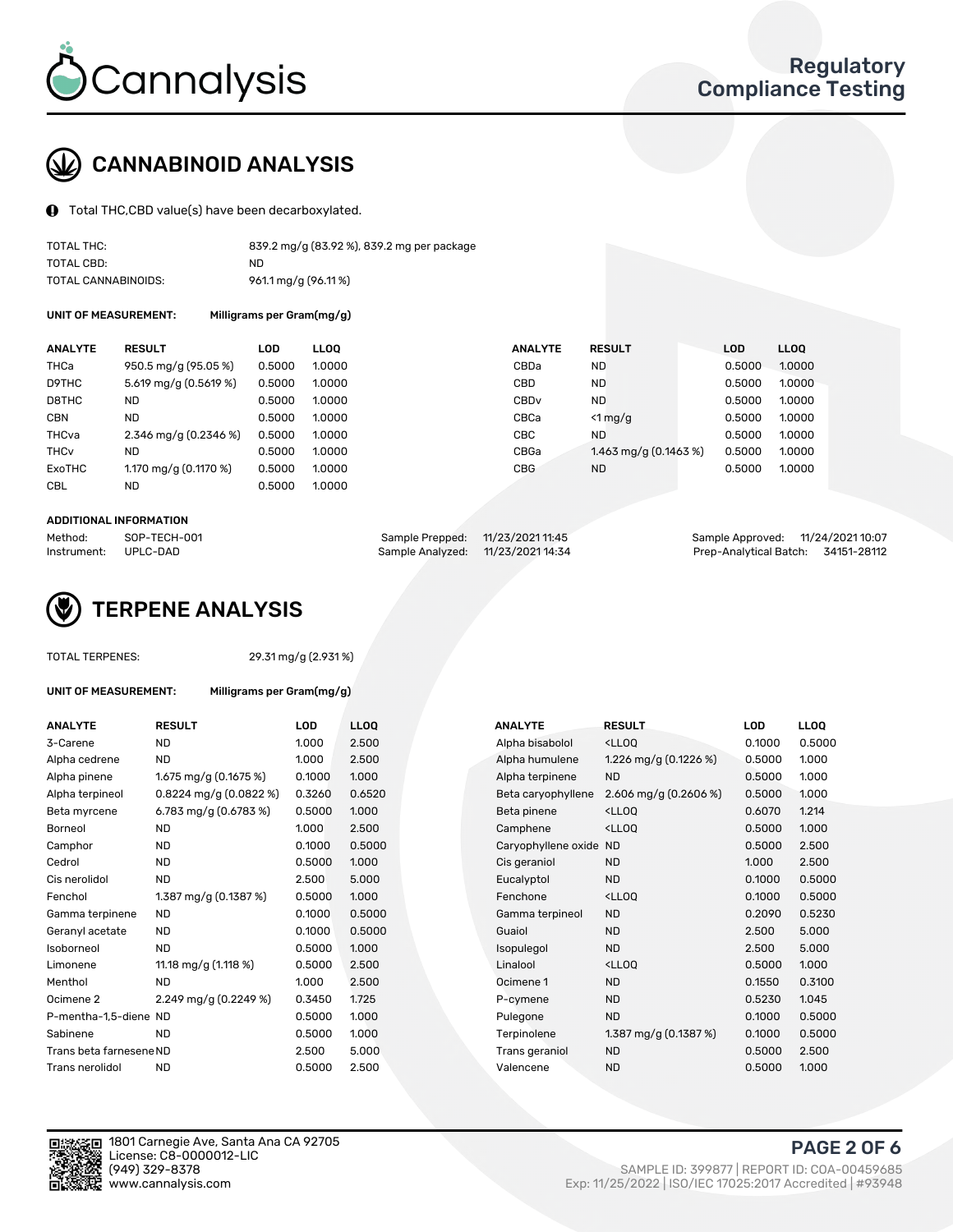

# CANNABINOID ANALYSIS

Total THC,CBD value(s) have been decarboxylated.

| TOTAL THC:          | 839.2 mg/g (83.92 %), 839.2 mg per package |
|---------------------|--------------------------------------------|
| TOTAL CBD:          | ND.                                        |
| TOTAL CANNABINOIDS: | 961.1 mg/g (96.11 %)                       |

UNIT OF MEASUREMENT: Milligrams per Gram(mg/g)

| <b>ANALYTE</b>         | <b>RESULT</b>           | <b>LOD</b> | <b>LLOO</b> | <b>ANALYTE</b>   | <b>RESULT</b>           | <b>LOD</b> | <b>LLOO</b> |
|------------------------|-------------------------|------------|-------------|------------------|-------------------------|------------|-------------|
| <b>THCa</b>            | 950.5 mg/g (95.05 %)    | 0.5000     | 1.0000      | CBDa             | <b>ND</b>               | 0.5000     | 1.0000      |
| D9THC                  | 5.619 mg/g (0.5619 %)   | 0.5000     | 1.0000      | CBD              | <b>ND</b>               | 0.5000     | 1.0000      |
| D8THC                  | ND                      | 0.5000     | 1.0000      | CBD <sub>v</sub> | <b>ND</b>               | 0.5000     | 1.0000      |
| <b>CBN</b>             | <b>ND</b>               | 0.5000     | 1.0000      | CBCa             | $\leq 1$ mg/g           | 0.5000     | 1.0000      |
| <b>THCva</b>           | 2.346 mg/g $(0.2346\%)$ | 0.5000     | 1.0000      | <b>CBC</b>       | <b>ND</b>               | 0.5000     | 1.0000      |
| <b>THC<sub>v</sub></b> | ND                      | 0.5000     | 1.0000      | CBGa             | 1.463 mg/g $(0.1463\%)$ | 0.5000     | 1.0000      |
| ExoTHC                 | 1.170 mg/g (0.1170 %)   | 0.5000     | 1.0000      | <b>CBG</b>       | <b>ND</b>               | 0.5000     | 1.0000      |
| <b>CBL</b>             | <b>ND</b>               | 0.5000     | 1.0000      |                  |                         |            |             |

#### ADDITIONAL INFORMATION

| Method:     | SOP-TECH-001 | Sample Prepped: 11/23/2021 11:45  | Sample Approved: 11/24/2021 10:07  |  |
|-------------|--------------|-----------------------------------|------------------------------------|--|
| Instrument: | . UPLC-DAD   | Sample Analyzed: 11/23/2021 14:34 | Prep-Analytical Batch: 34151-28112 |  |



#### TOTAL TERPENES: 29.31 mg/g (2.931 %)

| ANALYTE                 | <b>RESULT</b>             | <b>LOD</b> | <b>LLOQ</b> | <b>ANALYTE</b>         | <b>RESULT</b>                                      | <b>LOD</b> | <b>LLOQ</b> |
|-------------------------|---------------------------|------------|-------------|------------------------|----------------------------------------------------|------------|-------------|
| 3-Carene                | <b>ND</b>                 | 1.000      | 2.500       | Alpha bisabolol        | <lloq< td=""><td>0.1000</td><td>0.500</td></lloq<> | 0.1000     | 0.500       |
| Alpha cedrene           | <b>ND</b>                 | 1.000      | 2.500       | Alpha humulene         | 1.226 mg/g $(0.1226\%)$                            | 0.5000     | 1.000       |
| Alpha pinene            | 1.675 mg/g $(0.1675%)$    | 0.1000     | 1.000       | Alpha terpinene        | <b>ND</b>                                          | 0.5000     | 1.000       |
| Alpha terpineol         | $0.8224$ mg/g $(0.0822%)$ | 0.3260     | 0.6520      | Beta caryophyllene     | 2.606 mg/g $(0.2606\%)$                            | 0.5000     | 1.000       |
| Beta myrcene            | 6.783 mg/g (0.6783 %)     | 0.5000     | 1.000       | Beta pinene            | <lloq< td=""><td>0.6070</td><td>1.214</td></lloq<> | 0.6070     | 1.214       |
| Borneol                 | <b>ND</b>                 | 1.000      | 2.500       | Camphene               | <lloq< td=""><td>0.5000</td><td>1.000</td></lloq<> | 0.5000     | 1.000       |
| Camphor                 | <b>ND</b>                 | 0.1000     | 0.5000      | Caryophyllene oxide ND |                                                    | 0.5000     | 2.500       |
| Cedrol                  | <b>ND</b>                 | 0.5000     | 1.000       | Cis geraniol           | <b>ND</b>                                          | 1.000      | 2.500       |
| Cis nerolidol           | <b>ND</b>                 | 2.500      | 5.000       | Eucalyptol             | <b>ND</b>                                          | 0.1000     | 0.500       |
| Fenchol                 | 1.387 mg/g $(0.1387%)$    | 0.5000     | 1.000       | Fenchone               | <lloq< td=""><td>0.1000</td><td>0.500</td></lloq<> | 0.1000     | 0.500       |
| Gamma terpinene         | ND                        | 0.1000     | 0.5000      | Gamma terpineol        | <b>ND</b>                                          | 0.2090     | 0.523       |
| Geranyl acetate         | <b>ND</b>                 | 0.1000     | 0.5000      | Guaiol                 | <b>ND</b>                                          | 2.500      | 5.000       |
| Isoborneol              | <b>ND</b>                 | 0.5000     | 1.000       | Isopulegol             | <b>ND</b>                                          | 2.500      | 5.000       |
| Limonene                | 11.18 mg/g $(1.118\%)$    | 0.5000     | 2.500       | Linalool               | <lloq< td=""><td>0.5000</td><td>1.000</td></lloq<> | 0.5000     | 1.000       |
| Menthol                 | <b>ND</b>                 | 1.000      | 2.500       | Ocimene 1              | <b>ND</b>                                          | 0.1550     | 0.310       |
| Ocimene 2               | 2.249 mg/g $(0.2249\%)$   | 0.3450     | 1.725       | P-cymene               | <b>ND</b>                                          | 0.5230     | 1.045       |
| P-mentha-1,5-diene ND   |                           | 0.5000     | 1.000       | Pulegone               | <b>ND</b>                                          | 0.1000     | 0.500       |
| Sabinene                | <b>ND</b>                 | 0.5000     | 1.000       | Terpinolene            | 1.387 mg/g $(0.1387%)$                             | 0.1000     | 0.500       |
| Trans beta farnesene ND |                           | 2.500      | 5.000       | Trans geraniol         | <b>ND</b>                                          | 0.5000     | 2.500       |
| Trans nerolidol         | <b>ND</b>                 | 0.5000     | 2.500       | Valencene              | <b>ND</b>                                          | 0.5000     | 1.000       |

UNIT OF MEASUREMENT: Milligrams per Gram(mg/g)

| <b>ANALYTE</b>          | <b>RESULT</b>             | <b>LOD</b> | <b>LLOQ</b> | <b>ANALYTE</b>         | <b>RESULT</b>                                       | <b>LOD</b> | <b>LLOQ</b> |
|-------------------------|---------------------------|------------|-------------|------------------------|-----------------------------------------------------|------------|-------------|
| 3-Carene                | <b>ND</b>                 | 1.000      | 2.500       | Alpha bisabolol        | <lloq< td=""><td>0.1000</td><td>0.5000</td></lloq<> | 0.1000     | 0.5000      |
| Alpha cedrene           | <b>ND</b>                 | 1.000      | 2.500       | Alpha humulene         | 1.226 mg/g $(0.1226\%)$                             | 0.5000     | 1.000       |
| Alpha pinene            | 1.675 mg/g $(0.1675%)$    | 0.1000     | 1.000       | Alpha terpinene        | <b>ND</b>                                           | 0.5000     | 1.000       |
| Alpha terpineol         | $0.8224$ mg/g $(0.0822%)$ | 0.3260     | 0.6520      | Beta caryophyllene     | 2.606 mg/g $(0.2606\%)$                             | 0.5000     | 1.000       |
| Beta myrcene            | 6.783 mg/g (0.6783 %)     | 0.5000     | 1.000       | Beta pinene            | <lloq< td=""><td>0.6070</td><td>1.214</td></lloq<>  | 0.6070     | 1.214       |
| Borneol                 | <b>ND</b>                 | 1.000      | 2.500       | Camphene               | <lloq< td=""><td>0.5000</td><td>1.000</td></lloq<>  | 0.5000     | 1.000       |
| Camphor                 | ND                        | 0.1000     | 0.5000      | Caryophyllene oxide ND |                                                     | 0.5000     | 2.500       |
| Cedrol                  | <b>ND</b>                 | 0.5000     | 1.000       | Cis geraniol           | <b>ND</b>                                           | 1.000      | 2.500       |
| Cis nerolidol           | <b>ND</b>                 | 2.500      | 5.000       | Eucalyptol             | <b>ND</b>                                           | 0.1000     | 0.5000      |
| Fenchol                 | 1.387 mg/g (0.1387 %)     | 0.5000     | 1.000       | Fenchone               | <ll0q< td=""><td>0.1000</td><td>0.5000</td></ll0q<> | 0.1000     | 0.5000      |
| Gamma terpinene         | ND                        | 0.1000     | 0.5000      | Gamma terpineol        | <b>ND</b>                                           | 0.2090     | 0.5230      |
| Geranyl acetate         | <b>ND</b>                 | 0.1000     | 0.5000      | Guaiol                 | <b>ND</b>                                           | 2.500      | 5.000       |
| Isoborneol              | <b>ND</b>                 | 0.5000     | 1.000       | Isopulegol             | <b>ND</b>                                           | 2.500      | 5.000       |
| Limonene                | 11.18 mg/g (1.118 %)      | 0.5000     | 2.500       | Linalool               | <lloq< td=""><td>0.5000</td><td>1.000</td></lloq<>  | 0.5000     | 1.000       |
| Menthol                 | <b>ND</b>                 | 1.000      | 2.500       | Ocimene 1              | <b>ND</b>                                           | 0.1550     | 0.3100      |
| Ocimene 2               | 2.249 mg/g $(0.2249\%)$   | 0.3450     | 1.725       | P-cymene               | <b>ND</b>                                           | 0.5230     | 1.045       |
| P-mentha-1,5-diene ND   |                           | 0.5000     | 1.000       | Pulegone               | <b>ND</b>                                           | 0.1000     | 0.5000      |
| Sabinene                | <b>ND</b>                 | 0.5000     | 1.000       | Terpinolene            | 1.387 mg/g $(0.1387%)$                              | 0.1000     | 0.5000      |
| Trans beta farnesene ND |                           | 2.500      | 5.000       | Trans geraniol         | <b>ND</b>                                           | 0.5000     | 2.500       |
| Trans nerolidol         | <b>ND</b>                 | 0.5000     | 2.500       | Valencene              | <b>ND</b>                                           | 0.5000     | 1.000       |



PAGE 2 OF 6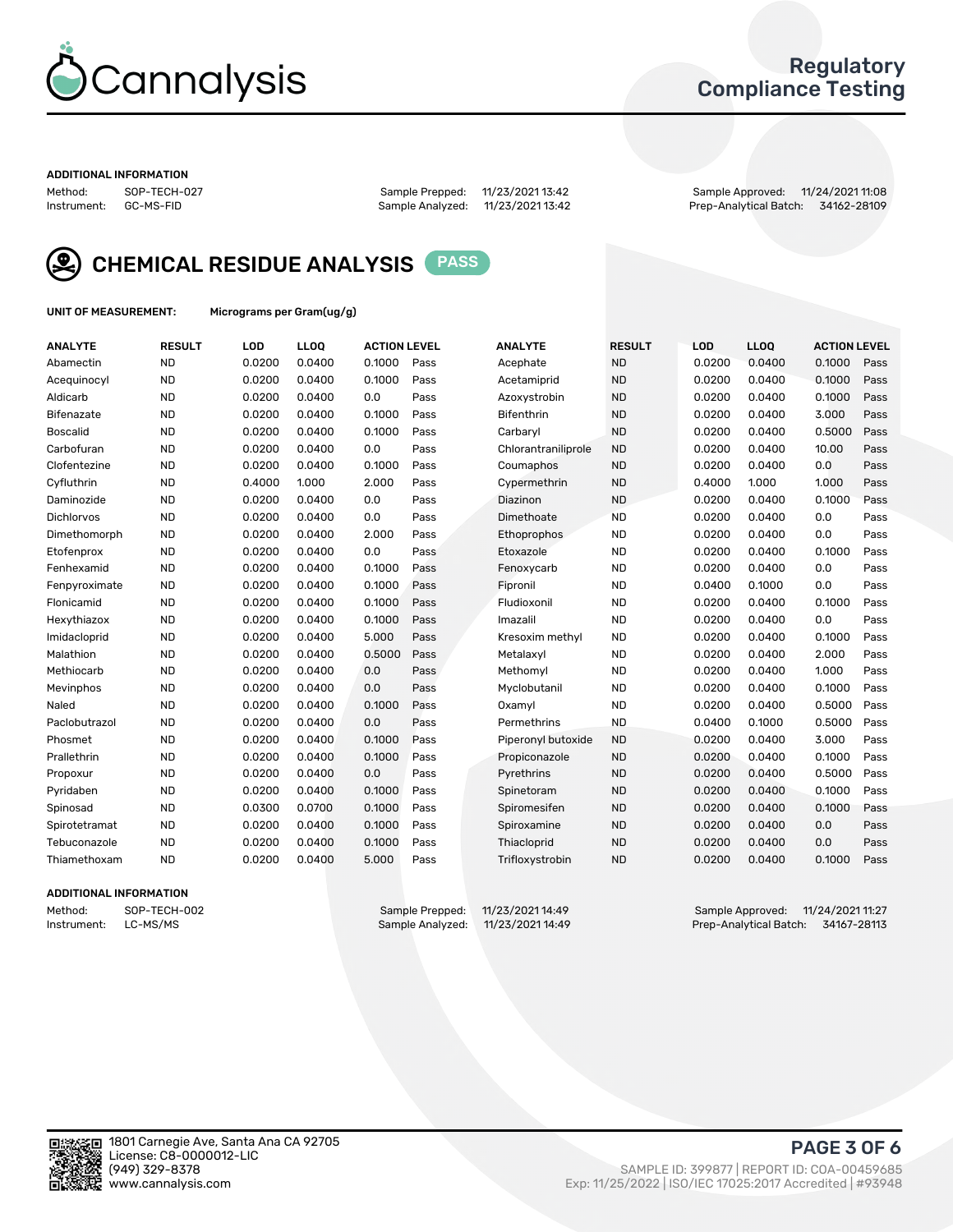

### Regulatory Compliance Testing

#### ADDITIONAL INFORMATION

Method: SOP-TECH-027 Sample Prepped: 11/23/2021 13:42 Sample Approved: 11/24/2021 11:08 Prep-Analytical Batch: 34162-28109



CHEMICAL RESIDUE ANALYSIS PASS

UNIT OF MEASUREMENT: Micrograms per Gram(ug/g)

| <b>ANALYTE</b>    | <b>RESULT</b> | LOD    | <b>LLOQ</b> | <b>ACTION LEVEL</b> |      | <b>ANALYTE</b>      | <b>RESULT</b> | LOD    | <b>LLOQ</b> | <b>ACTION LEVEL</b> |      |
|-------------------|---------------|--------|-------------|---------------------|------|---------------------|---------------|--------|-------------|---------------------|------|
| Abamectin         | <b>ND</b>     | 0.0200 | 0.0400      | 0.1000              | Pass | Acephate            | <b>ND</b>     | 0.0200 | 0.0400      | 0.1000              | Pass |
| Acequinocyl       | <b>ND</b>     | 0.0200 | 0.0400      | 0.1000              | Pass | Acetamiprid         | <b>ND</b>     | 0.0200 | 0.0400      | 0.1000              | Pass |
| Aldicarb          | <b>ND</b>     | 0.0200 | 0.0400      | 0.0                 | Pass | Azoxystrobin        | <b>ND</b>     | 0.0200 | 0.0400      | 0.1000              | Pass |
| Bifenazate        | <b>ND</b>     | 0.0200 | 0.0400      | 0.1000              | Pass | <b>Bifenthrin</b>   | <b>ND</b>     | 0.0200 | 0.0400      | 3.000               | Pass |
| <b>Boscalid</b>   | <b>ND</b>     | 0.0200 | 0.0400      | 0.1000              | Pass | Carbarvl            | <b>ND</b>     | 0.0200 | 0.0400      | 0.5000              | Pass |
| Carbofuran        | <b>ND</b>     | 0.0200 | 0.0400      | 0.0                 | Pass | Chlorantraniliprole | <b>ND</b>     | 0.0200 | 0.0400      | 10.00               | Pass |
| Clofentezine      | <b>ND</b>     | 0.0200 | 0.0400      | 0.1000              | Pass | Coumaphos           | <b>ND</b>     | 0.0200 | 0.0400      | 0.0                 | Pass |
| Cyfluthrin        | <b>ND</b>     | 0.4000 | 1.000       | 2.000               | Pass | Cypermethrin        | <b>ND</b>     | 0.4000 | 1.000       | 1.000               | Pass |
| Daminozide        | <b>ND</b>     | 0.0200 | 0.0400      | 0.0                 | Pass | Diazinon            | <b>ND</b>     | 0.0200 | 0.0400      | 0.1000              | Pass |
| <b>Dichlorvos</b> | <b>ND</b>     | 0.0200 | 0.0400      | 0.0                 | Pass | Dimethoate          | <b>ND</b>     | 0.0200 | 0.0400      | 0.0                 | Pass |
| Dimethomorph      | <b>ND</b>     | 0.0200 | 0.0400      | 2.000               | Pass | <b>Ethoprophos</b>  | <b>ND</b>     | 0.0200 | 0.0400      | 0.0                 | Pass |
| Etofenprox        | <b>ND</b>     | 0.0200 | 0.0400      | 0.0                 | Pass | Etoxazole           | <b>ND</b>     | 0.0200 | 0.0400      | 0.1000              | Pass |
| Fenhexamid        | <b>ND</b>     | 0.0200 | 0.0400      | 0.1000              | Pass | Fenoxycarb          | <b>ND</b>     | 0.0200 | 0.0400      | 0.0                 | Pass |
| Fenpyroximate     | <b>ND</b>     | 0.0200 | 0.0400      | 0.1000              | Pass | Fipronil            | <b>ND</b>     | 0.0400 | 0.1000      | 0.0                 | Pass |
| Flonicamid        | <b>ND</b>     | 0.0200 | 0.0400      | 0.1000              | Pass | Fludioxonil         | <b>ND</b>     | 0.0200 | 0.0400      | 0.1000              | Pass |
| Hexythiazox       | <b>ND</b>     | 0.0200 | 0.0400      | 0.1000              | Pass | Imazalil            | <b>ND</b>     | 0.0200 | 0.0400      | 0.0                 | Pass |
| Imidacloprid      | <b>ND</b>     | 0.0200 | 0.0400      | 5.000               | Pass | Kresoxim methyl     | <b>ND</b>     | 0.0200 | 0.0400      | 0.1000              | Pass |
| Malathion         | <b>ND</b>     | 0.0200 | 0.0400      | 0.5000              | Pass | Metalaxyl           | <b>ND</b>     | 0.0200 | 0.0400      | 2.000               | Pass |
| Methiocarb        | <b>ND</b>     | 0.0200 | 0.0400      | 0.0                 | Pass | Methomyl            | <b>ND</b>     | 0.0200 | 0.0400      | 1.000               | Pass |
| Mevinphos         | <b>ND</b>     | 0.0200 | 0.0400      | 0.0                 | Pass | Myclobutanil        | <b>ND</b>     | 0.0200 | 0.0400      | 0.1000              | Pass |
| Naled             | <b>ND</b>     | 0.0200 | 0.0400      | 0.1000              | Pass | Oxamyl              | <b>ND</b>     | 0.0200 | 0.0400      | 0.5000              | Pass |
| Paclobutrazol     | <b>ND</b>     | 0.0200 | 0.0400      | 0.0                 | Pass | Permethrins         | <b>ND</b>     | 0.0400 | 0.1000      | 0.5000              | Pass |
| Phosmet           | <b>ND</b>     | 0.0200 | 0.0400      | 0.1000              | Pass | Piperonyl butoxide  | <b>ND</b>     | 0.0200 | 0.0400      | 3.000               | Pass |
| Prallethrin       | <b>ND</b>     | 0.0200 | 0.0400      | 0.1000              | Pass | Propiconazole       | <b>ND</b>     | 0.0200 | 0.0400      | 0.1000              | Pass |
| Propoxur          | <b>ND</b>     | 0.0200 | 0.0400      | 0.0                 | Pass | Pyrethrins          | <b>ND</b>     | 0.0200 | 0.0400      | 0.5000              | Pass |
| Pyridaben         | <b>ND</b>     | 0.0200 | 0.0400      | 0.1000              | Pass | Spinetoram          | <b>ND</b>     | 0.0200 | 0.0400      | 0.1000              | Pass |
| Spinosad          | <b>ND</b>     | 0.0300 | 0.0700      | 0.1000              | Pass | Spiromesifen        | <b>ND</b>     | 0.0200 | 0.0400      | 0.1000              | Pass |
| Spirotetramat     | <b>ND</b>     | 0.0200 | 0.0400      | 0.1000              | Pass | Spiroxamine         | <b>ND</b>     | 0.0200 | 0.0400      | 0.0                 | Pass |
| Tebuconazole      | <b>ND</b>     | 0.0200 | 0.0400      | 0.1000              | Pass | Thiacloprid         | <b>ND</b>     | 0.0200 | 0.0400      | 0.0                 | Pass |
| Thiamethoxam      | <b>ND</b>     | 0.0200 | 0.0400      | 5.000               | Pass | Trifloxystrobin     | <b>ND</b>     | 0.0200 | 0.0400      | 0.1000              | Pass |

### ADDITIONAL INFORMATION

Method: SOP-TECH-002 Sample Prepped: 11/23/2021 14:49 Sample Approved: 11/24/2021 11:27<br>Instrument: LC-MS/MS Sample Approved: Sample Analyzed: 11/23/2021 14:49 Prep-Analytical Batch: 34167-28113 Prep-Analytical Batch: 34167-28113

PAGE 3 OF 6

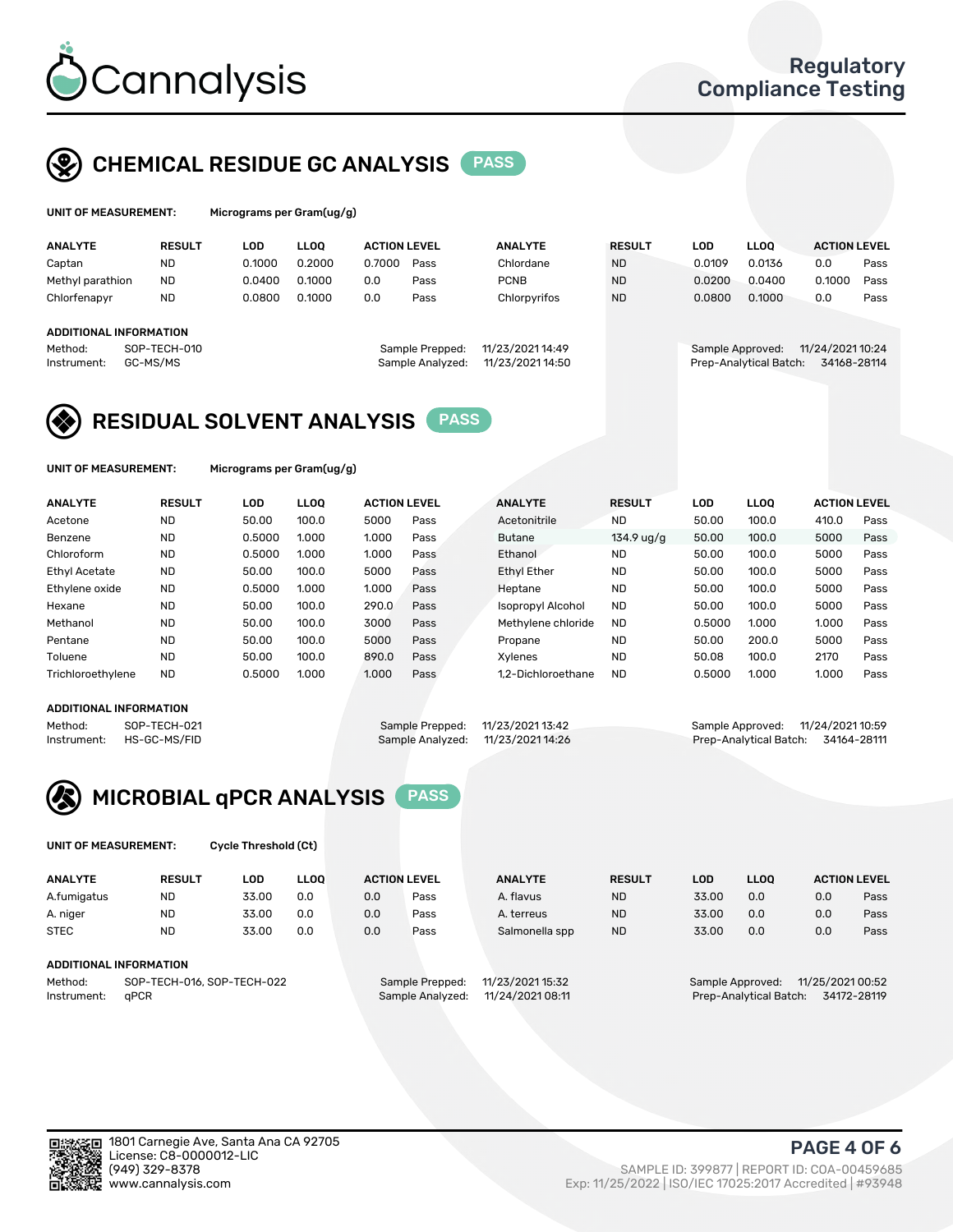

### CHEMICAL RESIDUE GC ANALYSIS PASS

| UNIT OF MEASUREMENT: | Micrograms per Gram $(uq/q)$ |        |             |                     |      |                |               |        |             |                     |      |
|----------------------|------------------------------|--------|-------------|---------------------|------|----------------|---------------|--------|-------------|---------------------|------|
| <b>ANALYTE</b>       | <b>RESULT</b>                | LOD    | <b>LLOO</b> | <b>ACTION LEVEL</b> |      | <b>ANALYTE</b> | <b>RESULT</b> | LOD    | <b>LLOO</b> | <b>ACTION LEVEL</b> |      |
| Captan               | <b>ND</b>                    | 0.1000 | 0.2000      | 0.7000              | Pass | Chlordane      | <b>ND</b>     | 0.0109 | 0.0136      | 0.0                 | Pass |
| Methyl parathion     | <b>ND</b>                    | 0.0400 | 0.1000      | 0.0                 | Pass | <b>PCNB</b>    | <b>ND</b>     | 0.0200 | 0.0400      | 0.1000              | Pass |
| Chlorfenapyr         | <b>ND</b>                    | 0.0800 | 0.1000      | 0.0                 | Pass | Chlorpyrifos   | <b>ND</b>     | 0.0800 | 0.1000      | 0.0                 | Pass |

#### ADDITIONAL INFORMATION

Method: SOP-TECH-010 Sample Prepped: 11/23/2021 14:49 Sample Approved: 11/24/2021 10:24

| epped:  | 11/23/2021 14:49 |  |
|---------|------------------|--|
| alyzed: | 11/23/2021 14:50 |  |
|         |                  |  |

Instrument: GC-MS/MS Sample Analyzed: 11/23/2021 14:50 Prep-Analytical Batch: 34168-28114

## RESIDUAL SOLVENT ANALYSIS **PASS**

UNIT OF MEASUREMENT: Micrograms per Gram(ug/g)

| <b>ANALYTE</b>       | <b>RESULT</b> | LOD    | <b>LLOO</b> | <b>ACTION LEVEL</b> |      | <b>ANALYTE</b>           | <b>RESULT</b>       | <b>LOD</b> | <b>LLOO</b> | <b>ACTION LEVEL</b> |      |
|----------------------|---------------|--------|-------------|---------------------|------|--------------------------|---------------------|------------|-------------|---------------------|------|
| Acetone              | <b>ND</b>     | 50.00  | 100.0       | 5000                | Pass | Acetonitrile             | <b>ND</b>           | 50.00      | 100.0       | 410.0               | Pass |
| Benzene              | <b>ND</b>     | 0.5000 | 1.000       | 1.000               | Pass | <b>Butane</b>            | 134.9 $\frac{1}{9}$ | 50.00      | 100.0       | 5000                | Pass |
| Chloroform           | <b>ND</b>     | 0.5000 | 1.000       | 1.000               | Pass | Ethanol                  | <b>ND</b>           | 50.00      | 100.0       | 5000                | Pass |
| <b>Ethyl Acetate</b> | <b>ND</b>     | 50.00  | 100.0       | 5000                | Pass | <b>Ethyl Ether</b>       | <b>ND</b>           | 50.00      | 100.0       | 5000                | Pass |
| Ethylene oxide       | <b>ND</b>     | 0.5000 | 1.000       | 1.000               | Pass | Heptane                  | <b>ND</b>           | 50.00      | 100.0       | 5000                | Pass |
| Hexane               | <b>ND</b>     | 50.00  | 100.0       | 290.0               | Pass | <b>Isopropyl Alcohol</b> | <b>ND</b>           | 50.00      | 100.0       | 5000                | Pass |
| Methanol             | <b>ND</b>     | 50.00  | 100.0       | 3000                | Pass | Methylene chloride       | <b>ND</b>           | 0.5000     | 1.000       | 1.000               | Pass |
| Pentane              | <b>ND</b>     | 50.00  | 100.0       | 5000                | Pass | Propane                  | <b>ND</b>           | 50.00      | 200.0       | 5000                | Pass |
| Toluene              | <b>ND</b>     | 50.00  | 100.0       | 890.0               | Pass | Xvlenes                  | <b>ND</b>           | 50.08      | 100.0       | 2170                | Pass |
| Trichloroethylene    | <b>ND</b>     | 0.5000 | 1.000       | 1.000               | Pass | 1.2-Dichloroethane       | <b>ND</b>           | 0.5000     | 1.000       | 1.000               | Pass |

### ADDITIONAL INFORMATION

Method: SOP-TECH-021 Sample Prepped: 11/23/2021 13:42 Sample Approved: 11/24/2021 10:59<br>Instrument: HS-GC-MS/FID Sample Analyzed: 11/23/2021 14:26 Prep-Analytical Batch: 34164-28111

Prep-Analytical Batch: 34164-28111



UNIT OF MEASUREMENT: Cycle Threshold (Ct)

| <b>ANALYTE</b>         | <b>RESULT</b>              | LOD   | <b>LLOO</b> |     | <b>ACTION LEVEL</b> | <b>ANALYTE</b>   | <b>RESULT</b> | LOD   | LL <sub>00</sub>       |                  | <b>ACTION LEVEL</b> |
|------------------------|----------------------------|-------|-------------|-----|---------------------|------------------|---------------|-------|------------------------|------------------|---------------------|
| A.fumigatus            | <b>ND</b>                  | 33.00 | 0.0         | 0.0 | Pass                | A. flavus        | <b>ND</b>     | 33.00 | 0.0                    | 0.0              | Pass                |
| A. niger               | <b>ND</b>                  | 33.00 | 0.0         | 0.0 | Pass                | A. terreus       | <b>ND</b>     | 33.00 | 0.0                    | 0.0              | Pass                |
| <b>STEC</b>            | <b>ND</b>                  | 33.00 | 0.0         | 0.0 | Pass                | Salmonella spp   | <b>ND</b>     | 33.00 | 0.0                    | 0.0              | Pass                |
| ADDITIONAL INFORMATION |                            |       |             |     |                     |                  |               |       |                        |                  |                     |
| Method:                | SOP-TECH-016, SOP-TECH-022 |       |             |     | Sample Prepped:     | 11/23/2021 15:32 |               |       | Sample Approved:       | 11/25/2021 00:52 |                     |
| Instrument:            | aPCR                       |       |             |     | Sample Analyzed:    | 11/24/2021 08:11 |               |       | Prep-Analytical Batch: |                  | 34172-28119         |

PAGE 4 OF 6

SAMPLE ID: 399877 | REPORT ID: COA-00459685 www.cannalysis.com Exp: 11/25/2022 | ISO/IEC 17025:2017 Accredited | #93948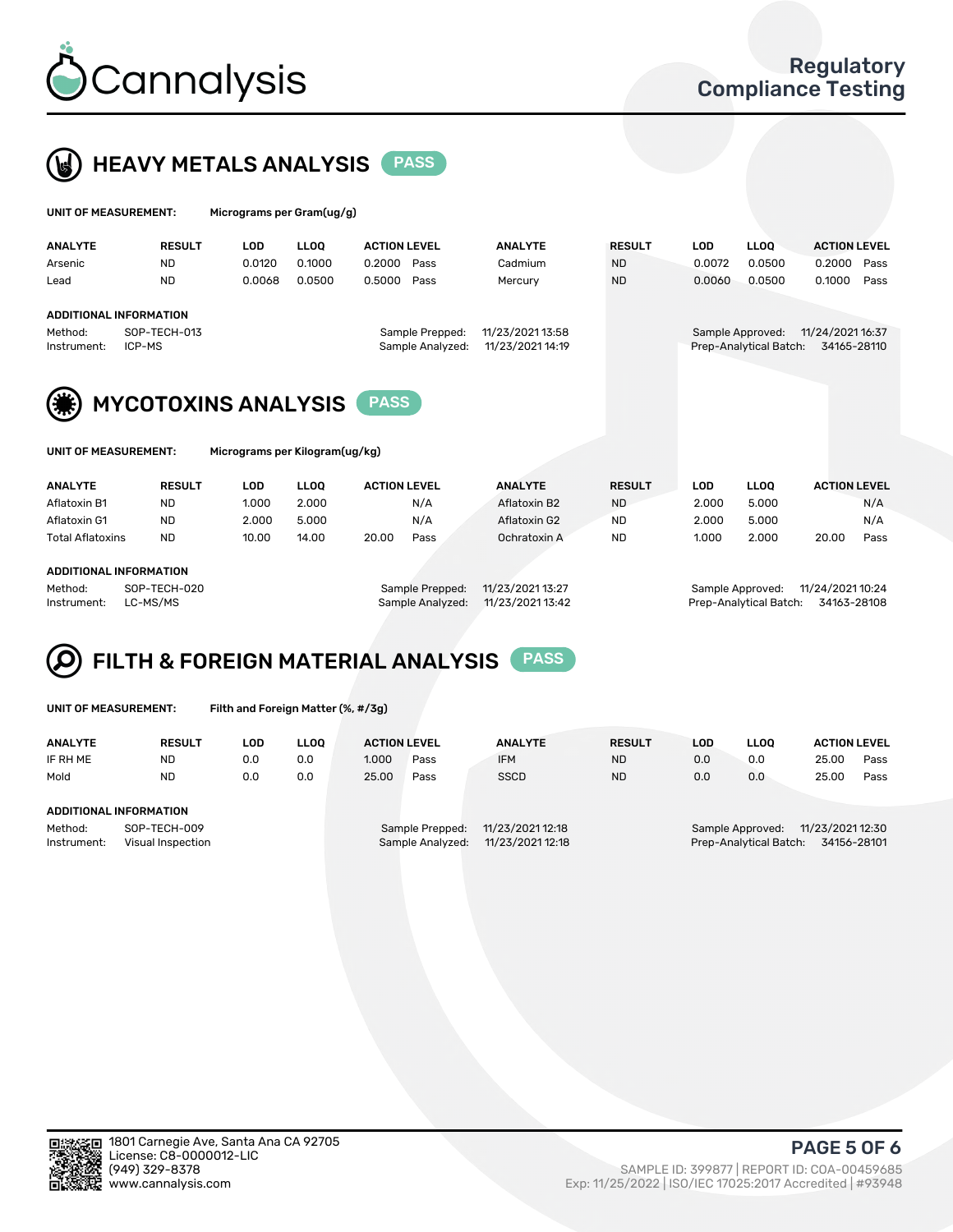



| UNIT OF MEASUREMENT:             |               | Micrograms per Gram(ug/g)      |             |                                     |                                      |               |            |                        |                                 |
|----------------------------------|---------------|--------------------------------|-------------|-------------------------------------|--------------------------------------|---------------|------------|------------------------|---------------------------------|
| <b>ANALYTE</b>                   | <b>RESULT</b> | <b>LOD</b>                     | <b>LLOQ</b> | <b>ACTION LEVEL</b>                 | <b>ANALYTE</b>                       | <b>RESULT</b> | <b>LOD</b> | <b>LLOQ</b>            | <b>ACTION LEVEL</b>             |
| Arsenic                          | <b>ND</b>     | 0.0120                         | 0.1000      | 0.2000<br>Pass                      | Cadmium                              | <b>ND</b>     | 0.0072     | 0.0500                 | 0.2000<br>Pass                  |
| Lead                             | <b>ND</b>     | 0.0068                         | 0.0500      | 0.5000<br>Pass                      | Mercury                              | <b>ND</b>     | 0.0060     | 0.0500                 | 0.1000<br>Pass                  |
| <b>ADDITIONAL INFORMATION</b>    |               |                                |             |                                     |                                      |               |            |                        |                                 |
| Method:<br>ICP-MS<br>Instrument: | SOP-TECH-013  |                                |             | Sample Prepped:<br>Sample Analyzed: | 11/23/2021 13:58<br>11/23/2021 14:19 |               |            | Sample Approved:       | 11/24/2021 16:37<br>34165-28110 |
|                                  |               |                                |             |                                     |                                      |               |            | Prep-Analytical Batch: |                                 |
|                                  |               | <b>MYCOTOXINS ANALYSIS</b>     |             | <b>PASS</b>                         |                                      |               |            |                        |                                 |
| UNIT OF MEASUREMENT:             |               | Micrograms per Kilogram(ug/kg) |             |                                     |                                      |               |            |                        |                                 |
| <b>ANALYTE</b>                   | <b>RESULT</b> | <b>LOD</b>                     | <b>LLOO</b> | <b>ACTION LEVEL</b>                 | <b>ANALYTE</b>                       | <b>RESULT</b> | <b>LOD</b> | <b>LLOQ</b>            | <b>ACTION LEVEL</b>             |
| Aflatoxin B1                     | <b>ND</b>     | 1.000                          | 2.000       | N/A                                 | Aflatoxin B2                         | <b>ND</b>     | 2.000      | 5.000                  | N/A                             |

#### ADDITIONAL INFORMATION

Aflatoxin G1 ND 2.000 5.000 N/A Aflatoxin G2 ND 2.000 5.000 N/A Total Aflatoxins ND 10.00 14.00 20.00 Pass Ochratoxin A ND 1.000 2.000 20.00 Pass

Method: SOP-TECH-020 Sample Prepped: 11/23/2021 13:27 Sample Approved: 11/24/2021 10:24 Instrument: LC-MS/MS Sample Analyzed: 11/23/2021 13:42 Prep-Analytical Batch: 34163-28108

# FILTH & FOREIGN MATERIAL ANALYSIS PASS

UNIT OF MEASUREMENT: Filth and Foreign Matter (%, #/3g)

| <b>ANALYTE</b>                                              | <b>RESULT</b> | LOD. | <b>LLOO</b> | <b>ACTION LEVEL</b>                                                         |      | <b>ANALYTE</b> | <b>RESULT</b> | LOD                                                                           | <b>LLOO</b> | <b>ACTION LEVEL</b> |      |
|-------------------------------------------------------------|---------------|------|-------------|-----------------------------------------------------------------------------|------|----------------|---------------|-------------------------------------------------------------------------------|-------------|---------------------|------|
| IF RH ME                                                    | <b>ND</b>     | 0.0  | 0.0         | 1.000                                                                       | Pass | <b>IFM</b>     | <b>ND</b>     | 0.0                                                                           | 0.0         | 25.00               | Pass |
| Mold                                                        | <b>ND</b>     | 0.0  | 0.0         | 25.00                                                                       | Pass | <b>SSCD</b>    | <b>ND</b>     | 0.0                                                                           | 0.0         | 25.00               | Pass |
| ADDITIONAL INFORMATION                                      |               |      |             |                                                                             |      |                |               |                                                                               |             |                     |      |
| Method:<br>SOP-TECH-009<br>Instrument:<br>Visual Inspection |               |      |             | 11/23/2021 12:18<br>Sample Prepped:<br>11/23/2021 12:18<br>Sample Analyzed: |      |                |               | 11/23/2021 12:30<br>Sample Approved:<br>Prep-Analytical Batch:<br>34156-28101 |             |                     |      |



PAGE 5 OF 6